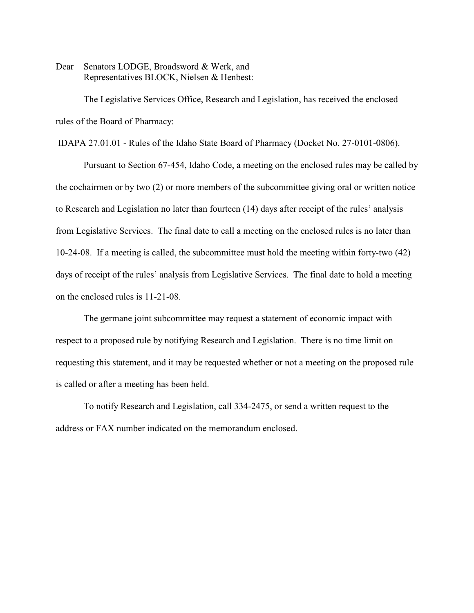Dear Senators LODGE, Broadsword & Werk, and Representatives BLOCK, Nielsen & Henbest:

The Legislative Services Office, Research and Legislation, has received the enclosed rules of the Board of Pharmacy:

IDAPA 27.01.01 - Rules of the Idaho State Board of Pharmacy (Docket No. 27-0101-0806).

Pursuant to Section 67-454, Idaho Code, a meeting on the enclosed rules may be called by the cochairmen or by two (2) or more members of the subcommittee giving oral or written notice to Research and Legislation no later than fourteen (14) days after receipt of the rules' analysis from Legislative Services. The final date to call a meeting on the enclosed rules is no later than 10-24-08. If a meeting is called, the subcommittee must hold the meeting within forty-two (42) days of receipt of the rules' analysis from Legislative Services. The final date to hold a meeting on the enclosed rules is 11-21-08.

The germane joint subcommittee may request a statement of economic impact with respect to a proposed rule by notifying Research and Legislation. There is no time limit on requesting this statement, and it may be requested whether or not a meeting on the proposed rule is called or after a meeting has been held.

To notify Research and Legislation, call 334-2475, or send a written request to the address or FAX number indicated on the memorandum enclosed.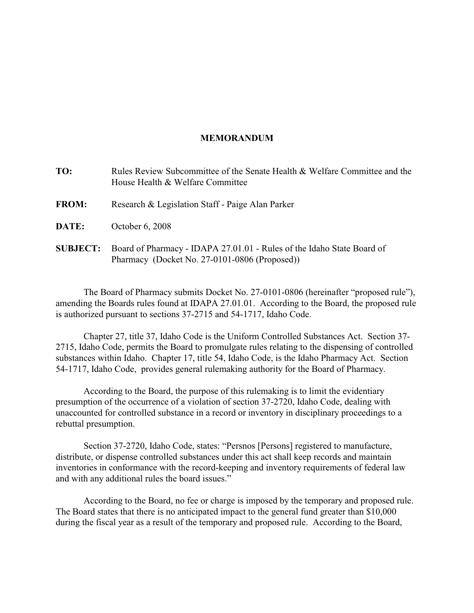### **MEMORANDUM**

| TO:             | Rules Review Subcommittee of the Senate Health & Welfare Committee and the<br>House Health & Welfare Committee          |
|-----------------|-------------------------------------------------------------------------------------------------------------------------|
| <b>FROM:</b>    | Research & Legislation Staff - Paige Alan Parker                                                                        |
| DATE:           | October 6, 2008                                                                                                         |
| <b>SUBJECT:</b> | Board of Pharmacy - IDAPA 27.01.01 - Rules of the Idaho State Board of<br>Pharmacy (Docket No. 27-0101-0806 (Proposed)) |

The Board of Pharmacy submits Docket No. 27-0101-0806 (hereinafter "proposed rule"), amending the Boards rules found at IDAPA 27.01.01. According to the Board, the proposed rule is authorized pursuant to sections 37-2715 and 54-1717, Idaho Code.

Chapter 27, title 37, Idaho Code is the Uniform Controlled Substances Act. Section 37- 2715, Idaho Code, permits the Board to promulgate rules relating to the dispensing of controlled substances within Idaho. Chapter 17, title 54, Idaho Code, is the Idaho Pharmacy Act. Section 54-1717, Idaho Code, provides general rulemaking authority for the Board of Pharmacy.

According to the Board, the purpose of this rulemaking is to limit the evidentiary presumption of the occurrence of a violation of section 37-2720, Idaho Code, dealing with unaccounted for controlled substance in a record or inventory in disciplinary proceedings to a rebuttal presumption.

Section 37-2720, Idaho Code, states: "Persnos [Persons] registered to manufacture, distribute, or dispense controlled substances under this act shall keep records and maintain inventories in conformance with the record-keeping and inventory requirements of federal law and with any additional rules the board issues."

According to the Board, no fee or charge is imposed by the temporary and proposed rule. The Board states that there is no anticipated impact to the general fund greater than \$10,000 during the fiscal year as a result of the temporary and proposed rule. According to the Board,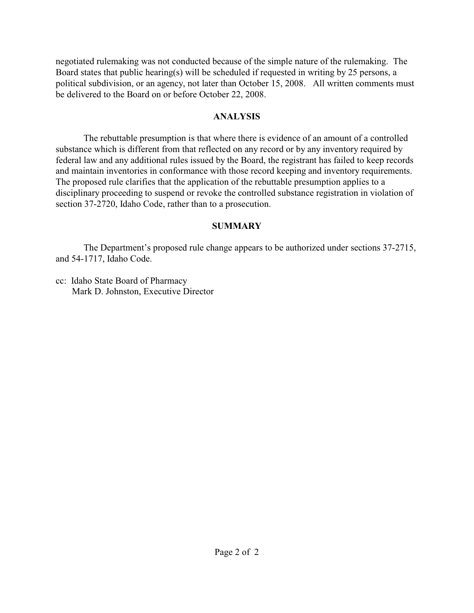negotiated rulemaking was not conducted because of the simple nature of the rulemaking. The Board states that public hearing(s) will be scheduled if requested in writing by 25 persons, a political subdivision, or an agency, not later than October 15, 2008. All written comments must be delivered to the Board on or before October 22, 2008.

## **ANALYSIS**

The rebuttable presumption is that where there is evidence of an amount of a controlled substance which is different from that reflected on any record or by any inventory required by federal law and any additional rules issued by the Board, the registrant has failed to keep records and maintain inventories in conformance with those record keeping and inventory requirements. The proposed rule clarifies that the application of the rebuttable presumption applies to a disciplinary proceeding to suspend or revoke the controlled substance registration in violation of section 37-2720, Idaho Code, rather than to a prosecution.

## **SUMMARY**

The Department's proposed rule change appears to be authorized under sections 37-2715, and 54-1717, Idaho Code.

cc: Idaho State Board of Pharmacy Mark D. Johnston, Executive Director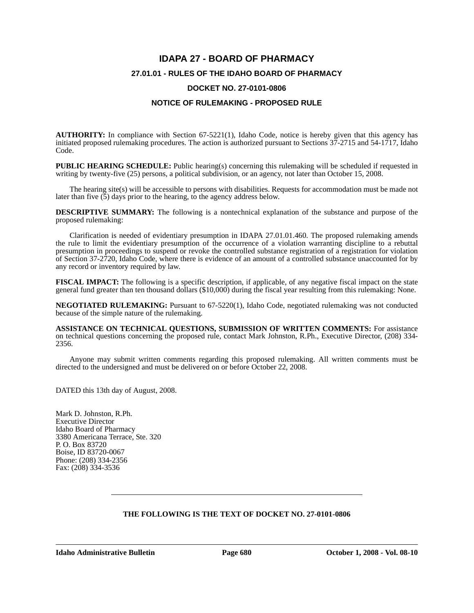# **IDAPA 27 - BOARD OF PHARMACY 27.01.01 - RULES OF THE IDAHO BOARD OF PHARMACY**

#### **DOCKET NO. 27-0101-0806**

#### **NOTICE OF RULEMAKING - PROPOSED RULE**

**AUTHORITY:** In compliance with Section 67-5221(1), Idaho Code, notice is hereby given that this agency has initiated proposed rulemaking procedures. The action is authorized pursuant to Sections 37-2715 and 54-1717, Idaho Code.

**PUBLIC HEARING SCHEDULE:** Public hearing(s) concerning this rulemaking will be scheduled if requested in writing by twenty-five (25) persons, a political subdivision, or an agency, not later than October 15, 2008.

The hearing site(s) will be accessible to persons with disabilities. Requests for accommodation must be made not later than five  $(5)$  days prior to the hearing, to the agency address below.

**DESCRIPTIVE SUMMARY:** The following is a nontechnical explanation of the substance and purpose of the proposed rulemaking:

Clarification is needed of evidentiary presumption in IDAPA 27.01.01.460. The proposed rulemaking amends the rule to limit the evidentiary presumption of the occurrence of a violation warranting discipline to a rebuttal presumption in proceedings to suspend or revoke the controlled substance registration of a registration for violation of Section 37-2720, Idaho Code, where there is evidence of an amount of a controlled substance unaccounted for by any record or inventory required by law.

**FISCAL IMPACT:** The following is a specific description, if applicable, of any negative fiscal impact on the state general fund greater than ten thousand dollars (\$10,000) during the fiscal year resulting from this rulemaking: None.

**NEGOTIATED RULEMAKING:** Pursuant to 67-5220(1), Idaho Code, negotiated rulemaking was not conducted because of the simple nature of the rulemaking.

**ASSISTANCE ON TECHNICAL QUESTIONS, SUBMISSION OF WRITTEN COMMENTS:** For assistance on technical questions concerning the proposed rule, contact Mark Johnston, R.Ph., Executive Director, (208) 334- 2356.

Anyone may submit written comments regarding this proposed rulemaking. All written comments must be directed to the undersigned and must be delivered on or before October 22, 2008.

DATED this 13th day of August, 2008.

Mark D. Johnston, R.Ph. Executive Director Idaho Board of Pharmacy 3380 Americana Terrace, Ste. 320 P. O. Box 83720 Boise, ID 83720-0067 Phone: (208) 334-2356 Fax: (208) 334-3536

#### **THE FOLLOWING IS THE TEXT OF DOCKET NO. 27-0101-0806**